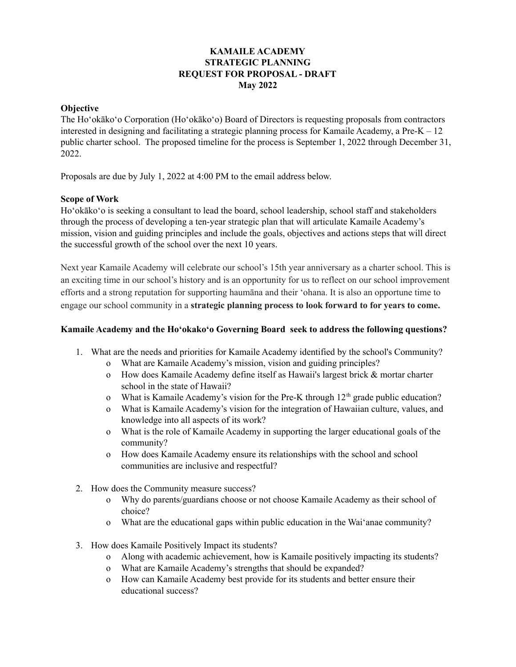### **KAMAILE ACADEMY STRATEGIC PLANNING REQUEST FOR PROPOSAL - DRAFT May 2022**

### **Objective**

The Ho'okāko'o Corporation (Ho'okāko'o) Board of Directors is requesting proposals from contractors interested in designing and facilitating a strategic planning process for Kamaile Academy, a Pre-K  $-12$ public charter school. The proposed timeline for the process is September 1, 2022 through December 31, 2022.

Proposals are due by July 1, 2022 at 4:00 PM to the email address below.

### **Scope of Work**

Ho'okāko'o is seeking a consultant to lead the board, school leadership, school staff and stakeholders through the process of developing a ten-year strategic plan that will articulate Kamaile Academy's mission, vision and guiding principles and include the goals, objectives and actions steps that will direct the successful growth of the school over the next 10 years.

Next year Kamaile Academy will celebrate our school's 15th year anniversary as a charter school. This is an exciting time in our school's history and is an opportunity for us to reflect on our school improvement efforts and a strong reputation for supporting haumāna and their 'ohana. It is also an opportune time to engage our school community in a **strategic planning process to look forward to for years to come.**

### **Kamaile Academy and the Hoʻokakoʻo Governing Board seek to address the following questions?**

- 1. What are the needs and priorities for Kamaile Academy identified by the school's Community?
	- o What are Kamaile Academy's mission, vision and guiding principles?
	- o How does Kamaile Academy define itself as Hawaii's largest brick & mortar charter school in the state of Hawaii?
	- o What is Kamaile Academy's vision for the Pre-K through  $12<sup>th</sup>$  grade public education?
	- o What is Kamaile Academy's vision for the integration of Hawaiian culture, values, and knowledge into all aspects of its work?
	- o What is the role of Kamaile Academy in supporting the larger educational goals of the community?
	- o How does Kamaile Academy ensure its relationships with the school and school communities are inclusive and respectful?
- 2. How does the Community measure success?
	- o Why do parents/guardians choose or not choose Kamaile Academy as their school of choice?
	- o What are the educational gaps within public education in the Waiʻanae community?
- 3. How does Kamaile Positively Impact its students?
	- o Along with academic achievement, how is Kamaile positively impacting its students?
	- o What are Kamaile Academy's strengths that should be expanded?
	- o How can Kamaile Academy best provide for its students and better ensure their educational success?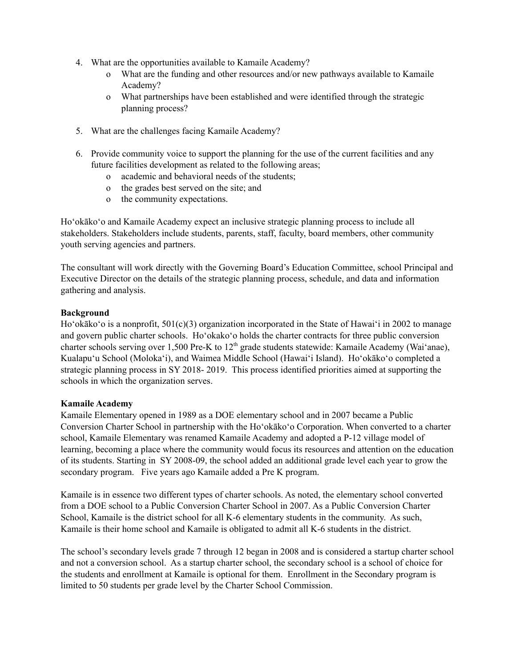- 4. What are the opportunities available to Kamaile Academy?
	- o What are the funding and other resources and/or new pathways available to Kamaile Academy?
	- o What partnerships have been established and were identified through the strategic planning process?
- 5. What are the challenges facing Kamaile Academy?
- 6. Provide community voice to support the planning for the use of the current facilities and any future facilities development as related to the following areas;
	- o academic and behavioral needs of the students;
	- o the grades best served on the site; and
	- o the community expectations.

Ho'okāko'o and Kamaile Academy expect an inclusive strategic planning process to include all stakeholders. Stakeholders include students, parents, staff, faculty, board members, other community youth serving agencies and partners.

The consultant will work directly with the Governing Board's Education Committee, school Principal and Executive Director on the details of the strategic planning process, schedule, and data and information gathering and analysis.

### **Background**

Ho'okāko'o is a nonprofit, 501(c)(3) organization incorporated in the State of Hawai'i in 2002 to manage and govern public charter schools. Ho'okako'o holds the charter contracts for three public conversion charter schools serving over 1,500 Pre-K to 12<sup>th</sup> grade students statewide: Kamaile Academy (Wai'anae), Kualapu'u School (Moloka'i), and Waimea Middle School (Hawai'i Island). Ho'okāko'o completed a strategic planning process in SY 2018- 2019. This process identified priorities aimed at supporting the schools in which the organization serves.

### **Kamaile Academy**

Kamaile Elementary opened in 1989 as a DOE elementary school and in 2007 became a Public Conversion Charter School in partnership with the Hoʻokākoʻo Corporation. When converted to a charter school, Kamaile Elementary was renamed Kamaile Academy and adopted a P-12 village model of learning, becoming a place where the community would focus its resources and attention on the education of its students. Starting in SY 2008-09, the school added an additional grade level each year to grow the secondary program. Five years ago Kamaile added a Pre K program.

Kamaile is in essence two different types of charter schools. As noted, the elementary school converted from a DOE school to a Public Conversion Charter School in 2007. As a Public Conversion Charter School, Kamaile is the district school for all K-6 elementary students in the community. As such, Kamaile is their home school and Kamaile is obligated to admit all K-6 students in the district.

The school's secondary levels grade 7 through 12 began in 2008 and is considered a startup charter school and not a conversion school. As a startup charter school, the secondary school is a school of choice for the students and enrollment at Kamaile is optional for them. Enrollment in the Secondary program is limited to 50 students per grade level by the Charter School Commission.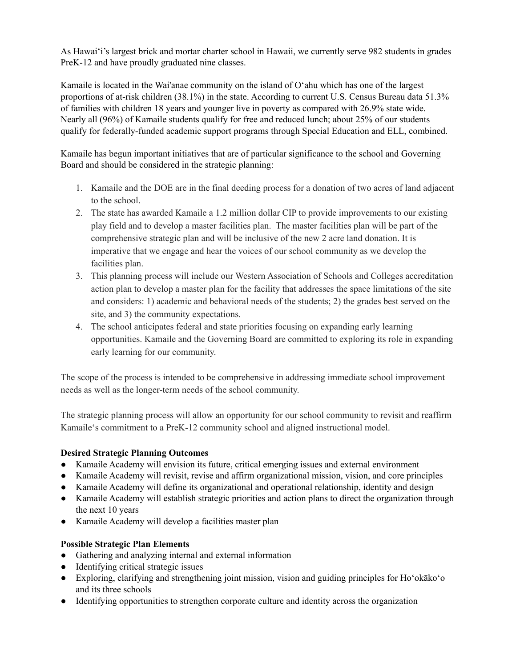As Hawaiʻi's largest brick and mortar charter school in Hawaii, we currently serve 982 students in grades PreK-12 and have proudly graduated nine classes.

Kamaile is located in the Wai'anae community on the island of O'ahu which has one of the largest proportions of at-risk children (38.1%) in the state. According to current U.S. Census Bureau data 51.3% of families with children 18 years and younger live in poverty as compared with 26.9% state wide. Nearly all (96%) of Kamaile students qualify for free and reduced lunch; about 25% of our students qualify for federally-funded academic support programs through Special Education and ELL, combined.

Kamaile has begun important initiatives that are of particular significance to the school and Governing Board and should be considered in the strategic planning:

- 1. Kamaile and the DOE are in the final deeding process for a donation of two acres of land adjacent to the school.
- 2. The state has awarded Kamaile a 1.2 million dollar CIP to provide improvements to our existing play field and to develop a master facilities plan. The master facilities plan will be part of the comprehensive strategic plan and will be inclusive of the new 2 acre land donation. It is imperative that we engage and hear the voices of our school community as we develop the facilities plan.
- 3. This planning process will include our Western Association of Schools and Colleges accreditation action plan to develop a master plan for the facility that addresses the space limitations of the site and considers: 1) academic and behavioral needs of the students; 2) the grades best served on the site, and 3) the community expectations.
- 4. The school anticipates federal and state priorities focusing on expanding early learning opportunities. Kamaile and the Governing Board are committed to exploring its role in expanding early learning for our community.

The scope of the process is intended to be comprehensive in addressing immediate school improvement needs as well as the longer-term needs of the school community.

The strategic planning process will allow an opportunity for our school community to revisit and reaffirm Kamaileʻs commitment to a PreK-12 community school and aligned instructional model.

# **Desired Strategic Planning Outcomes**

- Kamaile Academy will envision its future, critical emerging issues and external environment
- Kamaile Academy will revisit, revise and affirm organizational mission, vision, and core principles
- Kamaile Academy will define its organizational and operational relationship, identity and design
- Kamaile Academy will establish strategic priorities and action plans to direct the organization through the next 10 years
- Kamaile Academy will develop a facilities master plan

# **Possible Strategic Plan Elements**

- Gathering and analyzing internal and external information
- Identifying critical strategic issues
- Exploring, clarifying and strengthening joint mission, vision and guiding principles for Ho'okāko'o and its three schools
- Identifying opportunities to strengthen corporate culture and identity across the organization